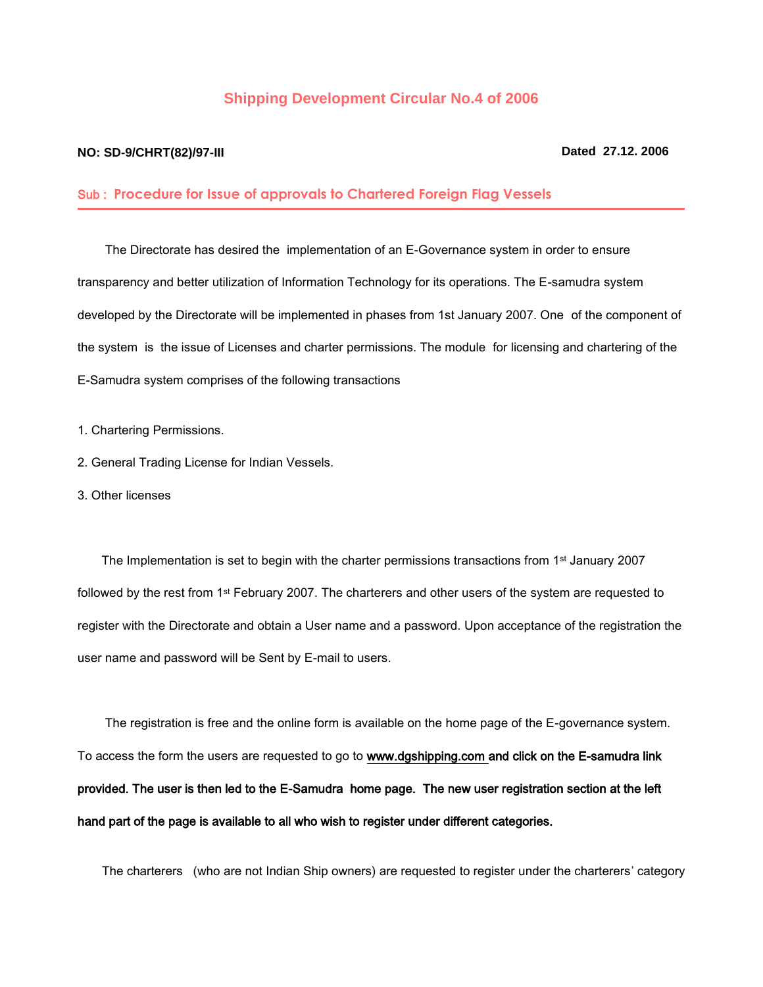## **Shipping Development Circular No.4 of 2006**

## **NO: SD-9/CHRT(82)/97-III Dated 27.12. 2006**

## Sub : **Procedure for Issue of approvals to Chartered Foreign Flag Vessels**

 The Directorate has desired the implementation of an E-Governance system in order to ensure transparency and better utilization of Information Technology for its operations. The E-samudra system developed by the Directorate will be implemented in phases from 1st January 2007. One of the component of the system is the issue of Licenses and charter permissions. The module for licensing and chartering of the E-Samudra system comprises of the following transactions

- 1. Chartering Permissions.
- 2. General Trading License for Indian Vessels.
- 3. Other licenses

The Implementation is set to begin with the charter permissions transactions from 1<sup>st</sup> January 2007 followed by the rest from 1st February 2007. The charterers and other users of the system are requested to register with the Directorate and obtain a User name and a password. Upon acceptance of the registration the user name and password will be Sent by E-mail to users.

 The registration is free and the online form is available on the home page of the E-governance system. To access the form the users are requested to go to www.dgshipping.com and click on the E-samudra link provided. The user is then led to the E-Samudra home page. The new user registration section at the left hand part of the page is available to all who wish to register under different categories.

The charterers (who are not Indian Ship owners) are requested to register under the charterers' category